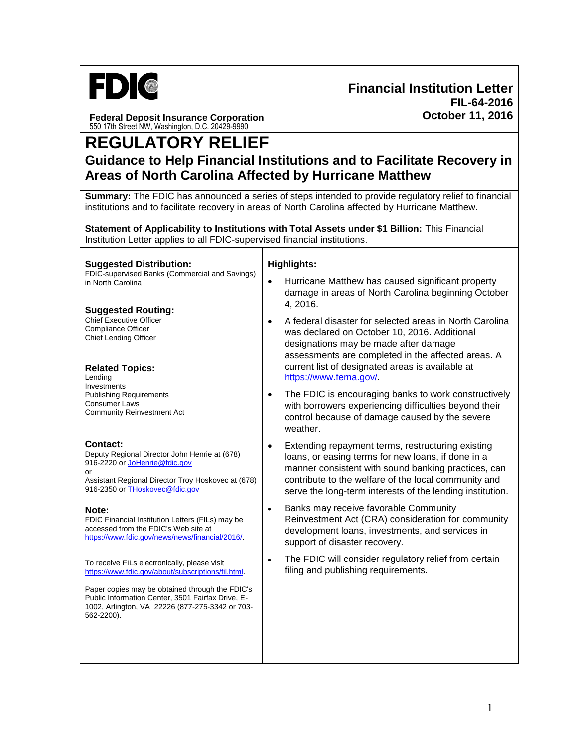

**Federal Deposit Insurance Corporation** 550 17th Street NW, Washington, D.C. 20429-9990

# **REGULATORY RELIEF Guidance to Help Financial Institutions and to Facilitate Recovery in Areas of North Carolina Affected by Hurricane Matthew**

**Summary:** The FDIC has announced a series of steps intended to provide regulatory relief to financial institutions and to facilitate recovery in areas of North Carolina affected by Hurricane Matthew.

**Statement of Applicability to Institutions with Total Assets under \$1 Billion:** This Financial Institution Letter applies to all FDIC-supervised financial institutions.

**Suggested Distribution:** FDIC-supervised Banks (Commercial and Savings) in North Carolina

## **Suggested Routing:**

Chief Executive Officer Compliance Officer Chief Lending Officer

## **Related Topics:**

Lending Investments Publishing Requirements Consumer Laws Community Reinvestment Act

## **Contact:**

Deputy Regional Director John Henrie at (678) 916-2220 o[r JoHenrie@fdic.gov](mailto:JoHenrie@fdic.gov) or

Assistant Regional Director Troy Hoskovec at (678) 916-2350 o[r THoskovec@fdic.gov](mailto:THoskovec@fdic.gov)

### **Note:**

FDIC Financial Institution Letters (FILs) may be accessed from the FDIC's Web site at [https://www.fdic.gov/news/news/financial/2016/.](http://www.fdic.gov/news/news/financial/2016/)

To receive FILs electronically, please visit [https://www.fdic.gov/about/subscriptions/fil.html.](https://www.fdic.gov/about/subscriptions/fil.html) 

Paper copies may be obtained through the FDIC's Public Information Center, 3501 Fairfax Drive, E-1002, Arlington, VA 22226 (877-275-3342 or 703- 562-2200).

### **Highlights:**

- Hurricane Matthew has caused significant property damage in areas of North Carolina beginning October 4, 2016.
- A federal disaster for selected areas in North Carolina was declared on October 10, 2016. Additional designations may be made after damage assessments are completed in the affected areas. A current list of designated areas is available at [https://www.fema.gov/.](https://www.fema.gov/)
- The FDIC is encouraging banks to work constructively with borrowers experiencing difficulties beyond their control because of damage caused by the severe weather.
- Extending repayment terms, restructuring existing loans, or easing terms for new loans, if done in a manner consistent with sound banking practices, can contribute to the welfare of the local community and serve the long-term interests of the lending institution.
- Banks may receive favorable Community Reinvestment Act (CRA) consideration for community development loans, investments, and services in support of disaster recovery.
- The FDIC will consider regulatory relief from certain filing and publishing requirements.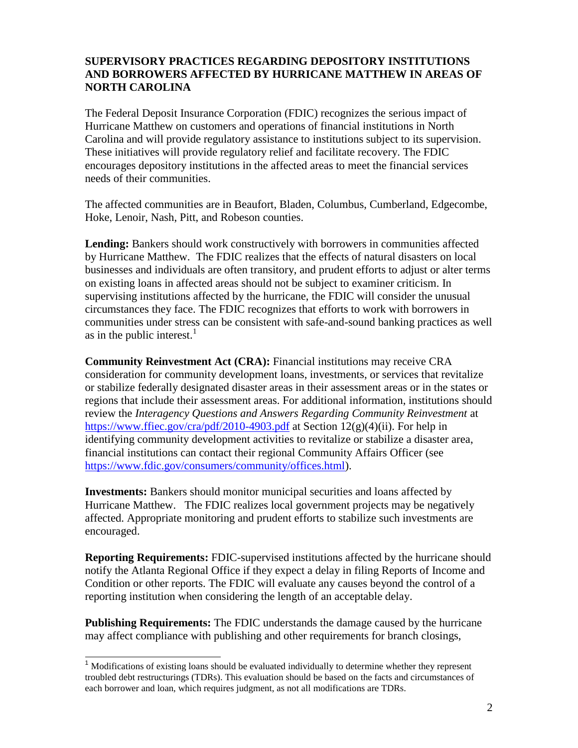## **SUPERVISORY PRACTICES REGARDING DEPOSITORY INSTITUTIONS AND BORROWERS AFFECTED BY HURRICANE MATTHEW IN AREAS OF NORTH CAROLINA**

The Federal Deposit Insurance Corporation (FDIC) recognizes the serious impact of Hurricane Matthew on customers and operations of financial institutions in North Carolina and will provide regulatory assistance to institutions subject to its supervision. These initiatives will provide regulatory relief and facilitate recovery. The FDIC encourages depository institutions in the affected areas to meet the financial services needs of their communities.

The affected communities are in Beaufort, Bladen, Columbus, Cumberland, Edgecombe, Hoke, Lenoir, Nash, Pitt, and Robeson counties.

**Lending:** Bankers should work constructively with borrowers in communities affected by Hurricane Matthew. The FDIC realizes that the effects of natural disasters on local businesses and individuals are often transitory, and prudent efforts to adjust or alter terms on existing loans in affected areas should not be subject to examiner criticism. In supervising institutions affected by the hurricane, the FDIC will consider the unusual circumstances they face. The FDIC recognizes that efforts to work with borrowers in communities under stress can be consistent with safe-and-sound banking practices as well as in the public interest. $<sup>1</sup>$ </sup>

**Community Reinvestment Act (CRA):** Financial institutions may receive CRA consideration for community development loans, investments, or services that revitalize or stabilize federally designated disaster areas in their assessment areas or in the states or regions that include their assessment areas. For additional information, institutions should review the *Interagency Questions and Answers Regarding Community Reinvestment* at <https://www.ffiec.gov/cra/pdf/2010-4903.pdf> at Section  $12(g)(4)(ii)$ . For help in identifying community development activities to revitalize or stabilize a disaster area, financial institutions can contact their regional Community Affairs Officer (see [https://www.fdic.gov/consumers/community/offices.html\)](https://www.fdic.gov/consumers/community/offices.html).

**Investments:** Bankers should monitor municipal securities and loans affected by Hurricane Matthew. The FDIC realizes local government projects may be negatively affected. Appropriate monitoring and prudent efforts to stabilize such investments are encouraged.

**Reporting Requirements:** FDIC-supervised institutions affected by the hurricane should notify the Atlanta Regional Office if they expect a delay in filing Reports of Income and Condition or other reports. The FDIC will evaluate any causes beyond the control of a reporting institution when considering the length of an acceptable delay.

**Publishing Requirements:** The FDIC understands the damage caused by the hurricane may affect compliance with publishing and other requirements for branch closings,

j

<sup>&</sup>lt;sup>1</sup> Modifications of existing loans should be evaluated individually to determine whether they represent troubled debt restructurings (TDRs). This evaluation should be based on the facts and circumstances of each borrower and loan, which requires judgment, as not all modifications are TDRs.